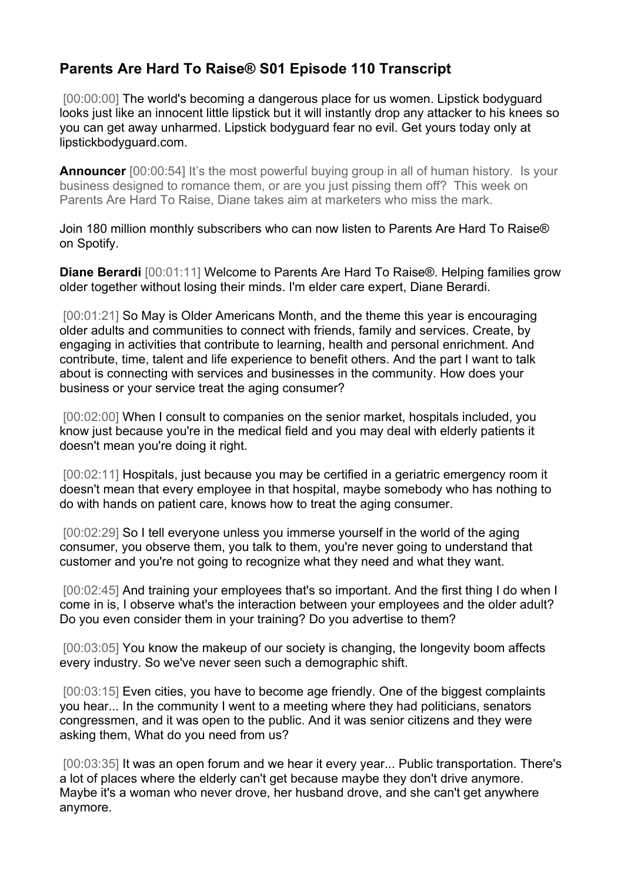## **Parents Are Hard To Raise® S01 Episode 110 Transcript**

[00:00:00] The world's becoming a dangerous place for us women. Lipstick bodyguard looks just like an innocent little lipstick but it will instantly drop any attacker to his knees so you can get away unharmed. Lipstick bodyguard fear no evil. Get yours today only at lipstickbodyguard.com.

**Announcer** [00:00:54] It's the most powerful buying group in all of human history. Is your business designed to romance them, or are you just pissing them off? This week on Parents Are Hard To Raise, Diane takes aim at marketers who miss the mark.

Join 180 million monthly subscribers who can now listen to Parents Are Hard To Raise® on Spotify.

**Diane Berardi** [00:01:11] Welcome to Parents Are Hard To Raise®. Helping families grow older together without losing their minds. I'm elder care expert, Diane Berardi.

[00:01:21] So May is Older Americans Month, and the theme this year is encouraging older adults and communities to connect with friends, family and services. Create, by engaging in activities that contribute to learning, health and personal enrichment. And contribute, time, talent and life experience to benefit others. And the part I want to talk about is connecting with services and businesses in the community. How does your business or your service treat the aging consumer?

[00:02:00] When I consult to companies on the senior market, hospitals included, you know just because you're in the medical field and you may deal with elderly patients it doesn't mean you're doing it right.

[00:02:11] Hospitals, just because you may be certified in a geriatric emergency room it doesn't mean that every employee in that hospital, maybe somebody who has nothing to do with hands on patient care, knows how to treat the aging consumer.

[00:02:29] So I tell everyone unless you immerse yourself in the world of the aging consumer, you observe them, you talk to them, you're never going to understand that customer and you're not going to recognize what they need and what they want.

[00:02:45] And training your employees that's so important. And the first thing I do when I come in is, I observe what's the interaction between your employees and the older adult? Do you even consider them in your training? Do you advertise to them?

[00:03:05] You know the makeup of our society is changing, the longevity boom affects every industry. So we've never seen such a demographic shift.

[00:03:15] Even cities, you have to become age friendly. One of the biggest complaints you hear... In the community I went to a meeting where they had politicians, senators congressmen, and it was open to the public. And it was senior citizens and they were asking them, What do you need from us?

[00:03:35] It was an open forum and we hear it every year... Public transportation. There's a lot of places where the elderly can't get because maybe they don't drive anymore. Maybe it's a woman who never drove, her husband drove, and she can't get anywhere anymore.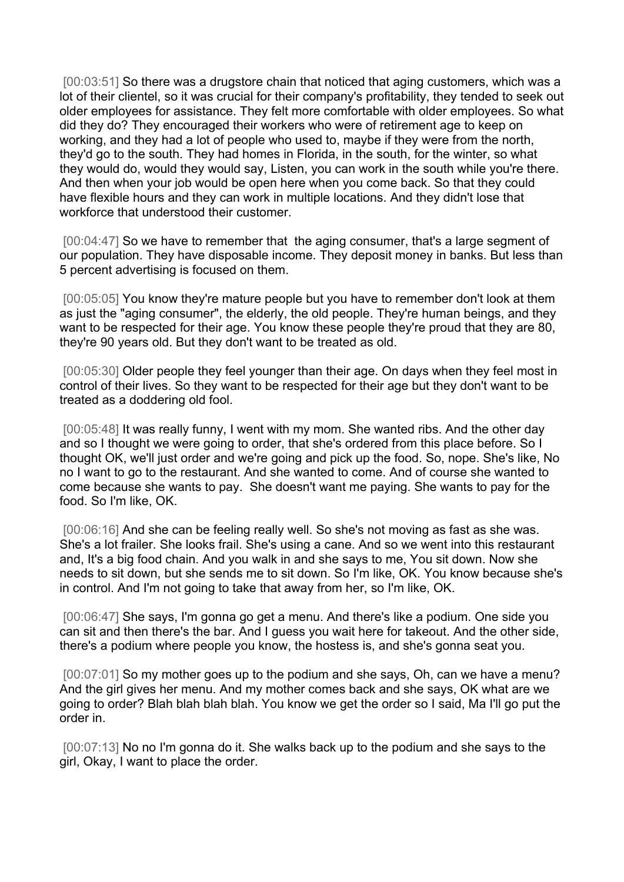[00:03:51] So there was a drugstore chain that noticed that aging customers, which was a lot of their clientel, so it was crucial for their company's profitability, they tended to seek out older employees for assistance. They felt more comfortable with older employees. So what did they do? They encouraged their workers who were of retirement age to keep on working, and they had a lot of people who used to, maybe if they were from the north, they'd go to the south. They had homes in Florida, in the south, for the winter, so what they would do, would they would say, Listen, you can work in the south while you're there. And then when your job would be open here when you come back. So that they could have flexible hours and they can work in multiple locations. And they didn't lose that workforce that understood their customer.

[00:04:47] So we have to remember that the aging consumer, that's a large segment of our population. They have disposable income. They deposit money in banks. But less than 5 percent advertising is focused on them.

[00:05:05] You know they're mature people but you have to remember don't look at them as just the "aging consumer", the elderly, the old people. They're human beings, and they want to be respected for their age. You know these people they're proud that they are 80, they're 90 years old. But they don't want to be treated as old.

[00:05:30] Older people they feel younger than their age. On days when they feel most in control of their lives. So they want to be respected for their age but they don't want to be treated as a doddering old fool.

[00:05:48] It was really funny, I went with my mom. She wanted ribs. And the other day and so I thought we were going to order, that she's ordered from this place before. So I thought OK, we'll just order and we're going and pick up the food. So, nope. She's like, No no I want to go to the restaurant. And she wanted to come. And of course she wanted to come because she wants to pay. She doesn't want me paying. She wants to pay for the food. So I'm like, OK.

[00:06:16] And she can be feeling really well. So she's not moving as fast as she was. She's a lot frailer. She looks frail. She's using a cane. And so we went into this restaurant and, It's a big food chain. And you walk in and she says to me, You sit down. Now she needs to sit down, but she sends me to sit down. So I'm like, OK. You know because she's in control. And I'm not going to take that away from her, so I'm like, OK.

[00:06:47] She says, I'm gonna go get a menu. And there's like a podium. One side you can sit and then there's the bar. And I guess you wait here for takeout. And the other side, there's a podium where people you know, the hostess is, and she's gonna seat you.

[00:07:01] So my mother goes up to the podium and she says, Oh, can we have a menu? And the girl gives her menu. And my mother comes back and she says, OK what are we going to order? Blah blah blah blah. You know we get the order so I said, Ma I'll go put the order in.

[00:07:13] No no I'm gonna do it. She walks back up to the podium and she says to the girl, Okay, I want to place the order.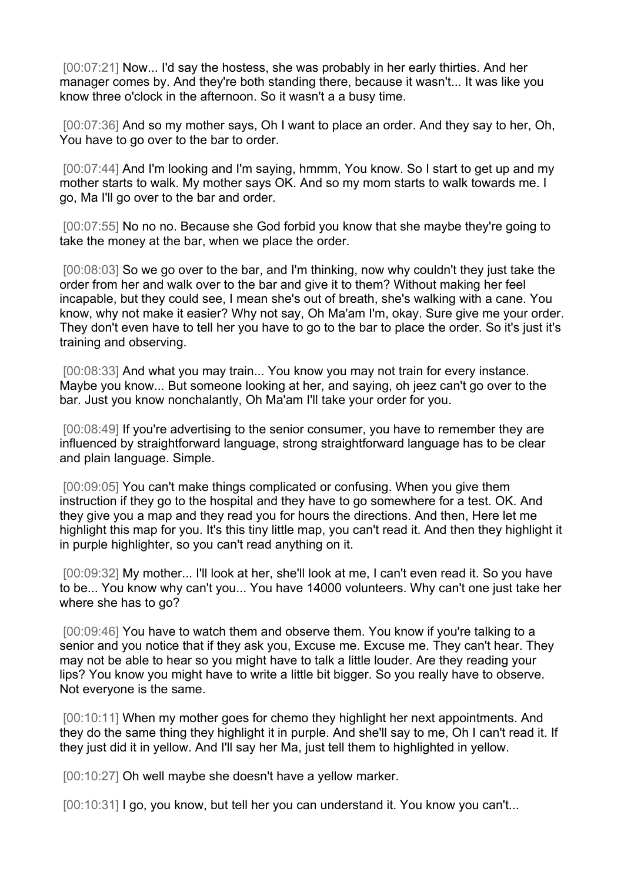[00:07:21] Now... I'd say the hostess, she was probably in her early thirties. And her manager comes by. And they're both standing there, because it wasn't... It was like you know three o'clock in the afternoon. So it wasn't a a busy time.

[00:07:36] And so my mother says, Oh I want to place an order. And they say to her, Oh, You have to go over to the bar to order.

[00:07:44] And I'm looking and I'm saying, hmmm, You know. So I start to get up and my mother starts to walk. My mother says OK. And so my mom starts to walk towards me. I go, Ma I'll go over to the bar and order.

[00:07:55] No no no. Because she God forbid you know that she maybe they're going to take the money at the bar, when we place the order.

[00:08:03] So we go over to the bar, and I'm thinking, now why couldn't they just take the order from her and walk over to the bar and give it to them? Without making her feel incapable, but they could see, I mean she's out of breath, she's walking with a cane. You know, why not make it easier? Why not say, Oh Ma'am I'm, okay. Sure give me your order. They don't even have to tell her you have to go to the bar to place the order. So it's just it's training and observing.

[00:08:33] And what you may train... You know you may not train for every instance. Maybe you know... But someone looking at her, and saying, oh jeez can't go over to the bar. Just you know nonchalantly, Oh Ma'am I'll take your order for you.

[00:08:49] If you're advertising to the senior consumer, you have to remember they are influenced by straightforward language, strong straightforward language has to be clear and plain language. Simple.

[00:09:05] You can't make things complicated or confusing. When you give them instruction if they go to the hospital and they have to go somewhere for a test. OK. And they give you a map and they read you for hours the directions. And then, Here let me highlight this map for you. It's this tiny little map, you can't read it. And then they highlight it in purple highlighter, so you can't read anything on it.

[00:09:32] My mother... I'll look at her, she'll look at me, I can't even read it. So you have to be... You know why can't you... You have 14000 volunteers. Why can't one just take her where she has to go?

[00:09:46] You have to watch them and observe them. You know if you're talking to a senior and you notice that if they ask you, Excuse me. Excuse me. They can't hear. They may not be able to hear so you might have to talk a little louder. Are they reading your lips? You know you might have to write a little bit bigger. So you really have to observe. Not everyone is the same.

[00:10:11] When my mother goes for chemo they highlight her next appointments. And they do the same thing they highlight it in purple. And she'll say to me, Oh I can't read it. If they just did it in yellow. And I'll say her Ma, just tell them to highlighted in yellow.

[00:10:27] Oh well maybe she doesn't have a yellow marker.

[00:10:31] I go, you know, but tell her you can understand it. You know you can't...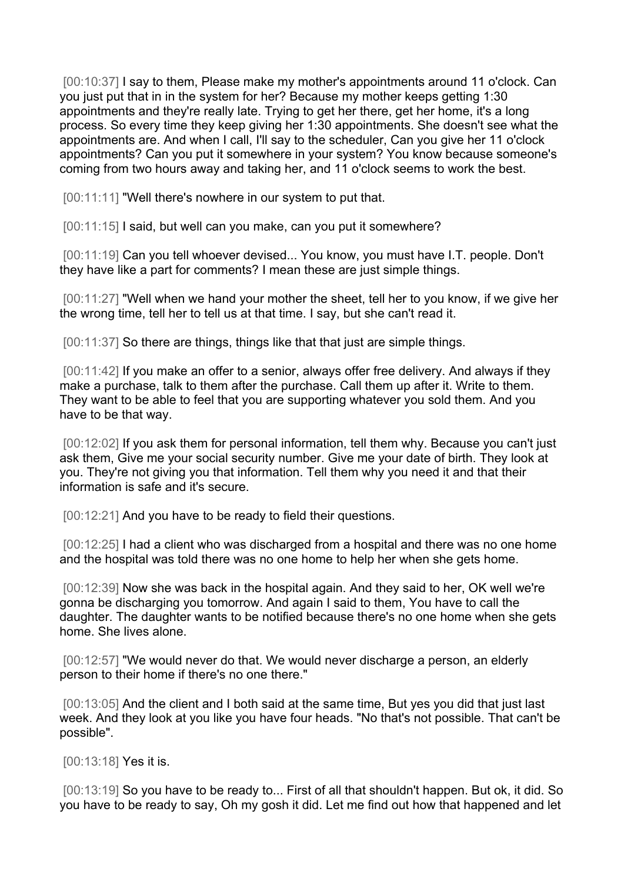[00:10:37] I say to them, Please make my mother's appointments around 11 o'clock. Can you just put that in in the system for her? Because my mother keeps getting 1:30 appointments and they're really late. Trying to get her there, get her home, it's a long process. So every time they keep giving her 1:30 appointments. She doesn't see what the appointments are. And when I call, I'll say to the scheduler, Can you give her 11 o'clock appointments? Can you put it somewhere in your system? You know because someone's coming from two hours away and taking her, and 11 o'clock seems to work the best.

[00:11:11] "Well there's nowhere in our system to put that.

[00:11:15] I said, but well can you make, can you put it somewhere?

[00:11:19] Can you tell whoever devised... You know, you must have I.T. people. Don't they have like a part for comments? I mean these are just simple things.

[00:11:27] "Well when we hand your mother the sheet, tell her to you know, if we give her the wrong time, tell her to tell us at that time. I say, but she can't read it.

[00:11:37] So there are things, things like that that just are simple things.

[00:11:42] If you make an offer to a senior, always offer free delivery. And always if they make a purchase, talk to them after the purchase. Call them up after it. Write to them. They want to be able to feel that you are supporting whatever you sold them. And you have to be that way.

[00:12:02] If you ask them for personal information, tell them why. Because you can't just ask them, Give me your social security number. Give me your date of birth. They look at you. They're not giving you that information. Tell them why you need it and that their information is safe and it's secure.

[00:12:21] And you have to be ready to field their questions.

[00:12:25] I had a client who was discharged from a hospital and there was no one home and the hospital was told there was no one home to help her when she gets home.

[00:12:39] Now she was back in the hospital again. And they said to her, OK well we're gonna be discharging you tomorrow. And again I said to them, You have to call the daughter. The daughter wants to be notified because there's no one home when she gets home. She lives alone.

[00:12:57] "We would never do that. We would never discharge a person, an elderly person to their home if there's no one there."

[00:13:05] And the client and I both said at the same time, But yes you did that just last week. And they look at you like you have four heads. "No that's not possible. That can't be possible".

[00:13:18] **Yes it is.** 

[00:13:19] So you have to be ready to... First of all that shouldn't happen. But ok, it did. So you have to be ready to say, Oh my gosh it did. Let me find out how that happened and let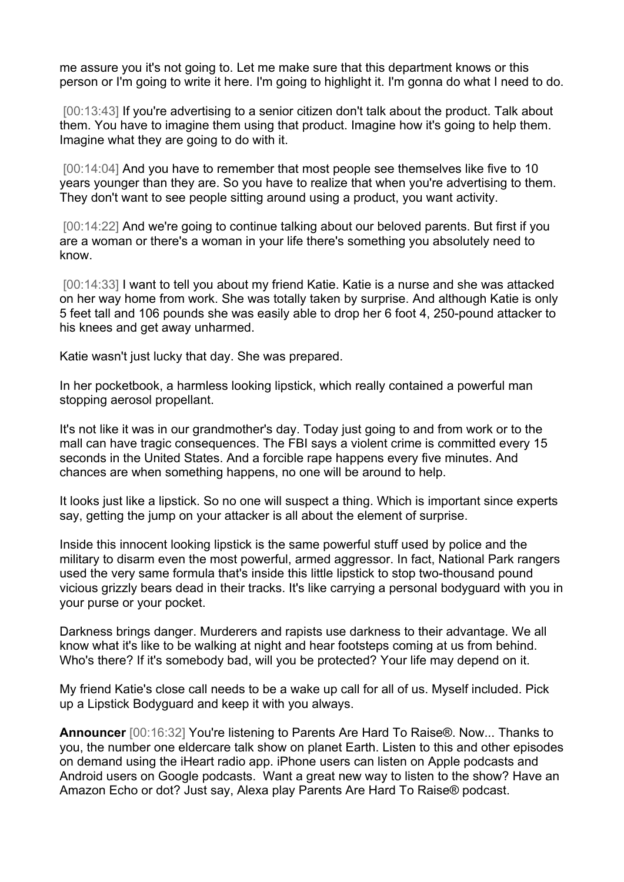me assure you it's not going to. Let me make sure that this department knows or this person or I'm going to write it here. I'm going to highlight it. I'm gonna do what I need to do.

[00:13:43] If you're advertising to a senior citizen don't talk about the product. Talk about them. You have to imagine them using that product. Imagine how it's going to help them. Imagine what they are going to do with it.

[00:14:04] And you have to remember that most people see themselves like five to 10 years younger than they are. So you have to realize that when you're advertising to them. They don't want to see people sitting around using a product, you want activity.

[00:14:22] And we're going to continue talking about our beloved parents. But first if you are a woman or there's a woman in your life there's something you absolutely need to know.

[00:14:33] I want to tell you about my friend Katie. Katie is a nurse and she was attacked on her way home from work. She was totally taken by surprise. And although Katie is only 5 feet tall and 106 pounds she was easily able to drop her 6 foot 4, 250-pound attacker to his knees and get away unharmed.

Katie wasn't just lucky that day. She was prepared.

In her pocketbook, a harmless looking lipstick, which really contained a powerful man stopping aerosol propellant.

It's not like it was in our grandmother's day. Today just going to and from work or to the mall can have tragic consequences. The FBI says a violent crime is committed every 15 seconds in the United States. And a forcible rape happens every five minutes. And chances are when something happens, no one will be around to help.

It looks just like a lipstick. So no one will suspect a thing. Which is important since experts say, getting the jump on your attacker is all about the element of surprise.

Inside this innocent looking lipstick is the same powerful stuff used by police and the military to disarm even the most powerful, armed aggressor. In fact, National Park rangers used the very same formula that's inside this little lipstick to stop two-thousand pound vicious grizzly bears dead in their tracks. It's like carrying a personal bodyguard with you in your purse or your pocket.

Darkness brings danger. Murderers and rapists use darkness to their advantage. We all know what it's like to be walking at night and hear footsteps coming at us from behind. Who's there? If it's somebody bad, will you be protected? Your life may depend on it.

My friend Katie's close call needs to be a wake up call for all of us. Myself included. Pick up a Lipstick Bodyguard and keep it with you always.

**Announcer** [00:16:32] You're listening to Parents Are Hard To Raise®. Now... Thanks to you, the number one eldercare talk show on planet Earth. Listen to this and other episodes on demand using the iHeart radio app. iPhone users can listen on Apple podcasts and Android users on Google podcasts. Want a great new way to listen to the show? Have an Amazon Echo or dot? Just say, Alexa play Parents Are Hard To Raise® podcast.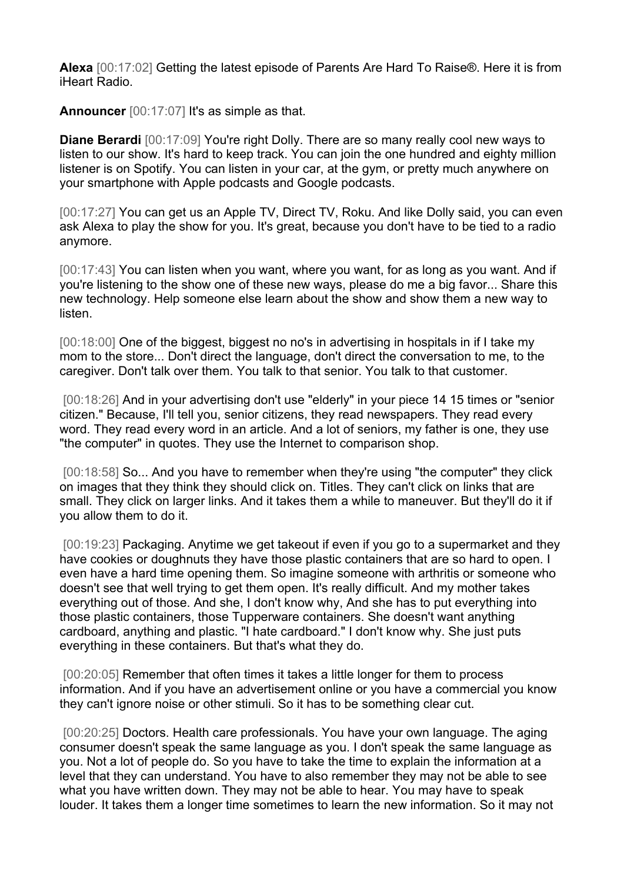**Alexa** [00:17:02] Getting the latest episode of Parents Are Hard To Raise®. Here it is from iHeart Radio.

**Announcer** [00:17:07] It's as simple as that.

**Diane Berardi** [00:17:09] You're right Dolly. There are so many really cool new ways to listen to our show. It's hard to keep track. You can join the one hundred and eighty million listener is on Spotify. You can listen in your car, at the gym, or pretty much anywhere on your smartphone with Apple podcasts and Google podcasts.

[00:17:27] You can get us an Apple TV, Direct TV, Roku. And like Dolly said, you can even ask Alexa to play the show for you. It's great, because you don't have to be tied to a radio anymore.

[00:17:43] You can listen when you want, where you want, for as long as you want. And if you're listening to the show one of these new ways, please do me a big favor... Share this new technology. Help someone else learn about the show and show them a new way to listen.

[00:18:00] One of the biggest, biggest no no's in advertising in hospitals in if I take my mom to the store... Don't direct the language, don't direct the conversation to me, to the caregiver. Don't talk over them. You talk to that senior. You talk to that customer.

[00:18:26] And in your advertising don't use "elderly" in your piece 14 15 times or "senior citizen." Because, I'll tell you, senior citizens, they read newspapers. They read every word. They read every word in an article. And a lot of seniors, my father is one, they use "the computer" in quotes. They use the Internet to comparison shop.

[00:18:58] So... And you have to remember when they're using "the computer" they click on images that they think they should click on. Titles. They can't click on links that are small. They click on larger links. And it takes them a while to maneuver. But they'll do it if you allow them to do it.

[00:19:23] Packaging. Anytime we get takeout if even if you go to a supermarket and they have cookies or doughnuts they have those plastic containers that are so hard to open. I even have a hard time opening them. So imagine someone with arthritis or someone who doesn't see that well trying to get them open. It's really difficult. And my mother takes everything out of those. And she, I don't know why, And she has to put everything into those plastic containers, those Tupperware containers. She doesn't want anything cardboard, anything and plastic. "I hate cardboard." I don't know why. She just puts everything in these containers. But that's what they do.

[00:20:05] Remember that often times it takes a little longer for them to process information. And if you have an advertisement online or you have a commercial you know they can't ignore noise or other stimuli. So it has to be something clear cut.

[00:20:25] Doctors. Health care professionals. You have your own language. The aging consumer doesn't speak the same language as you. I don't speak the same language as you. Not a lot of people do. So you have to take the time to explain the information at a level that they can understand. You have to also remember they may not be able to see what you have written down. They may not be able to hear. You may have to speak louder. It takes them a longer time sometimes to learn the new information. So it may not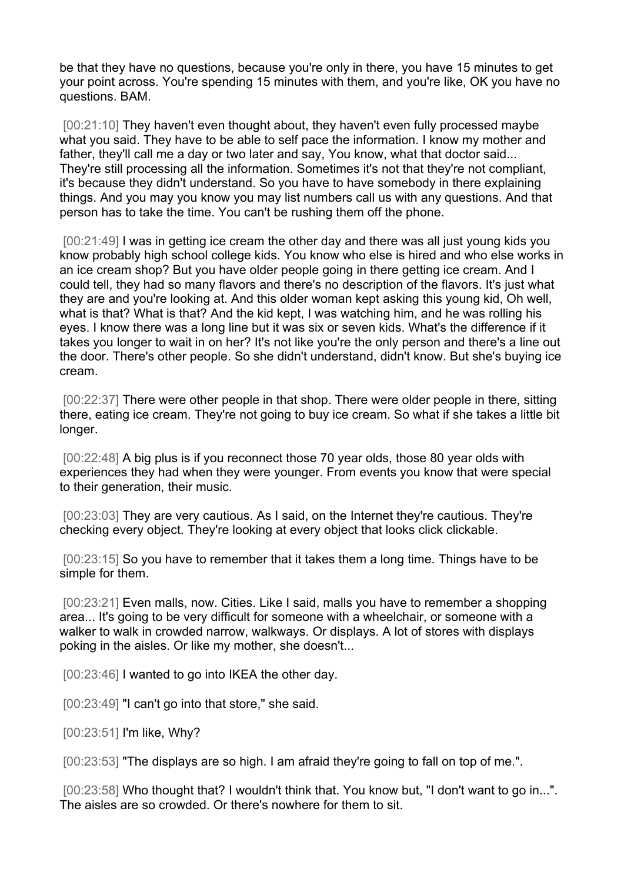be that they have no questions, because you're only in there, you have 15 minutes to get your point across. You're spending 15 minutes with them, and you're like, OK you have no questions. BAM.

[00:21:10] They haven't even thought about, they haven't even fully processed maybe what you said. They have to be able to self pace the information. I know my mother and father, they'll call me a day or two later and say, You know, what that doctor said... They're still processing all the information. Sometimes it's not that they're not compliant, it's because they didn't understand. So you have to have somebody in there explaining things. And you may you know you may list numbers call us with any questions. And that person has to take the time. You can't be rushing them off the phone.

[00:21:49] I was in getting ice cream the other day and there was all just young kids you know probably high school college kids. You know who else is hired and who else works in an ice cream shop? But you have older people going in there getting ice cream. And I could tell, they had so many flavors and there's no description of the flavors. It's just what they are and you're looking at. And this older woman kept asking this young kid, Oh well, what is that? What is that? And the kid kept, I was watching him, and he was rolling his eyes. I know there was a long line but it was six or seven kids. What's the difference if it takes you longer to wait in on her? It's not like you're the only person and there's a line out the door. There's other people. So she didn't understand, didn't know. But she's buying ice cream.

[00:22:37] There were other people in that shop. There were older people in there, sitting there, eating ice cream. They're not going to buy ice cream. So what if she takes a little bit longer.

[00:22:48] A big plus is if you reconnect those 70 year olds, those 80 year olds with experiences they had when they were younger. From events you know that were special to their generation, their music.

[00:23:03] They are very cautious. As I said, on the Internet they're cautious. They're checking every object. They're looking at every object that looks click clickable.

[00:23:15] So you have to remember that it takes them a long time. Things have to be simple for them.

[00:23:21] Even malls, now. Cities. Like I said, malls you have to remember a shopping area... It's going to be very difficult for someone with a wheelchair, or someone with a walker to walk in crowded narrow, walkways. Or displays. A lot of stores with displays poking in the aisles. Or like my mother, she doesn't...

[00:23:46] I wanted to go into IKEA the other day.

[00:23:49] "I can't go into that store," she said.

[00:23:51] I'm like, Why?

[00:23:53] "The displays are so high. I am afraid they're going to fall on top of me.".

[00:23:58] Who thought that? I wouldn't think that. You know but, "I don't want to go in...". The aisles are so crowded. Or there's nowhere for them to sit.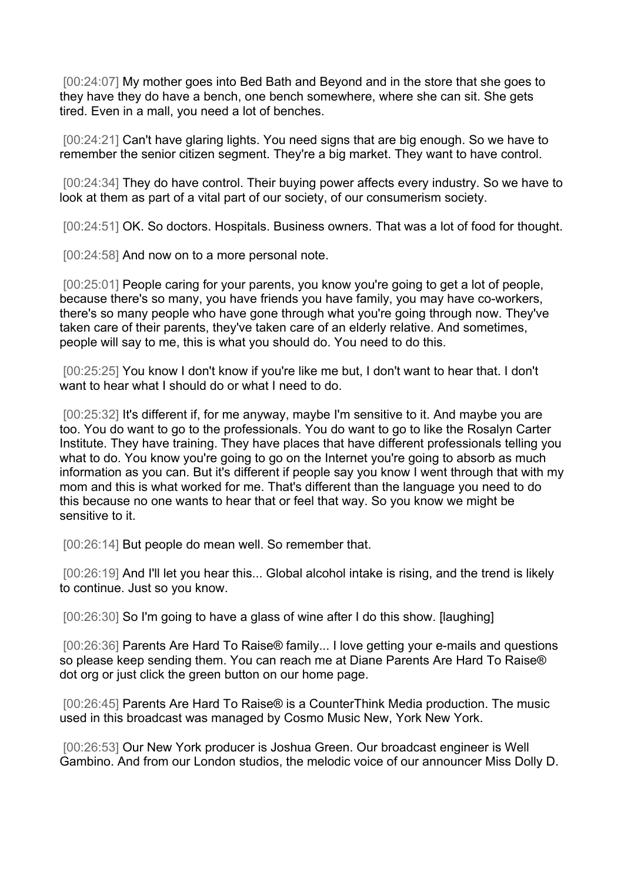[00:24:07] My mother goes into Bed Bath and Beyond and in the store that she goes to they have they do have a bench, one bench somewhere, where she can sit. She gets tired. Even in a mall, you need a lot of benches.

[00:24:21] Can't have glaring lights. You need signs that are big enough. So we have to remember the senior citizen segment. They're a big market. They want to have control.

[00:24:34] They do have control. Their buying power affects every industry. So we have to look at them as part of a vital part of our society, of our consumerism society.

[00:24:51] OK. So doctors. Hospitals. Business owners. That was a lot of food for thought.

[00:24:58] And now on to a more personal note.

[00:25:01] People caring for your parents, you know you're going to get a lot of people, because there's so many, you have friends you have family, you may have co-workers, there's so many people who have gone through what you're going through now. They've taken care of their parents, they've taken care of an elderly relative. And sometimes, people will say to me, this is what you should do. You need to do this.

[00:25:25] You know I don't know if you're like me but, I don't want to hear that. I don't want to hear what I should do or what I need to do.

[00:25:32] It's different if, for me anyway, maybe I'm sensitive to it. And maybe you are too. You do want to go to the professionals. You do want to go to like the Rosalyn Carter Institute. They have training. They have places that have different professionals telling you what to do. You know you're going to go on the Internet you're going to absorb as much information as you can. But it's different if people say you know I went through that with my mom and this is what worked for me. That's different than the language you need to do this because no one wants to hear that or feel that way. So you know we might be sensitive to it.

[00:26:14] But people do mean well. So remember that.

[00:26:19] And I'll let you hear this... Global alcohol intake is rising, and the trend is likely to continue. Just so you know.

[00:26:30] So I'm going to have a glass of wine after I do this show. [laughing]

[00:26:36] Parents Are Hard To Raise® family... I love getting your e-mails and questions so please keep sending them. You can reach me at Diane Parents Are Hard To Raise® dot org or just click the green button on our home page.

[00:26:45] Parents Are Hard To Raise® is a CounterThink Media production. The music used in this broadcast was managed by Cosmo Music New, York New York.

[00:26:53] Our New York producer is Joshua Green. Our broadcast engineer is Well Gambino. And from our London studios, the melodic voice of our announcer Miss Dolly D.